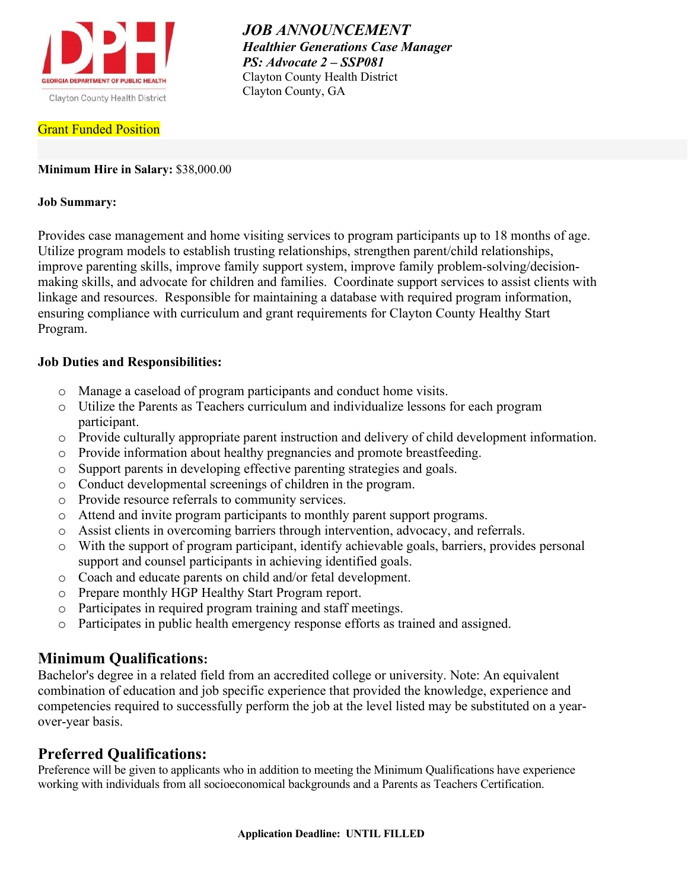

**Grant Funded Position** 

*JOB ANNOUNCEMENT Healthier Generations Case Manager PS: Advocate 2 – SSP081* Clayton County Health District Clayton County, GA

## **Minimum Hire in Salary:** \$38,000.00

## **Job Summary:**

Provides case management and home visiting services to program participants up to 18 months of age. Utilize program models to establish trusting relationships, strengthen parent/child relationships, improve parenting skills, improve family support system, improve family problem-solving/decisionmaking skills, and advocate for children and families. Coordinate support services to assist clients with linkage and resources. Responsible for maintaining a database with required program information, ensuring compliance with curriculum and grant requirements for Clayton County Healthy Start Program.

## **Job Duties and Responsibilities:**

- o Manage a caseload of program participants and conduct home visits.
- o Utilize the Parents as Teachers curriculum and individualize lessons for each program participant.
- o Provide culturally appropriate parent instruction and delivery of child development information.
- o Provide information about healthy pregnancies and promote breastfeeding.
- o Support parents in developing effective parenting strategies and goals.
- o Conduct developmental screenings of children in the program.
- o Provide resource referrals to community services.
- o Attend and invite program participants to monthly parent support programs.
- o Assist clients in overcoming barriers through intervention, advocacy, and referrals.
- o With the support of program participant, identify achievable goals, barriers, provides personal support and counsel participants in achieving identified goals.
- o Coach and educate parents on child and/or fetal development.
- o Prepare monthly HGP Healthy Start Program report.
- o Participates in required program training and staff meetings.
- o Participates in public health emergency response efforts as trained and assigned.

# **Minimum Qualifications:**

Bachelor's degree in a related field from an accredited college or university. Note: An equivalent combination of education and job specific experience that provided the knowledge, experience and competencies required to successfully perform the job at the level listed may be substituted on a yearover-year basis.

# **Preferred Qualifications:**

Preference will be given to applicants who in addition to meeting the Minimum Qualifications have experience working with individuals from all socioeconomical backgrounds and a Parents as Teachers Certification.